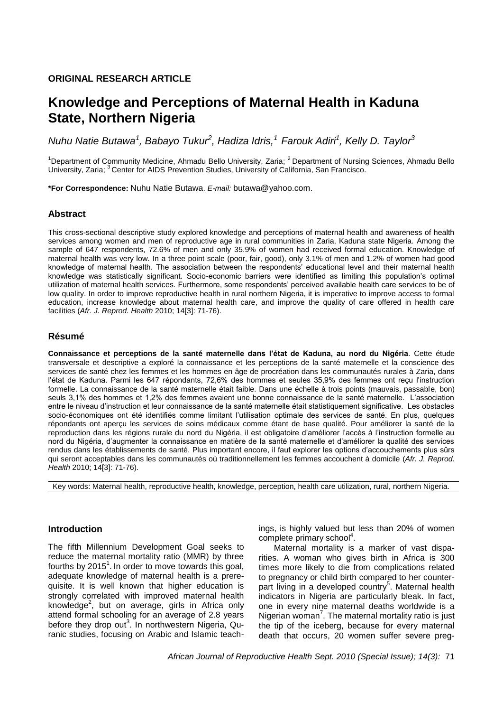# **ORIGINAL RESEARCH ARTICLE**

# **Knowledge and Perceptions of Maternal Health in Kaduna State, Northern Nigeria**

*Nuhu Natie Butawa<sup>1</sup> , Babayo Tukur<sup>2</sup> , Hadiza Idris,<sup>1</sup>Farouk Adiri<sup>1</sup> , Kelly D. Taylor<sup>3</sup>*

<sup>1</sup>Department of Community Medicine, Ahmadu Bello University, Zaria;  $^2$  Department of Nursing Sciences, Ahmadu Bello University, Zaria; <sup>3</sup> Center for AIDS Prevention Studies, University of California, San Francisco.

**\*For Correspondence:** Nuhu Natie Butawa. *E-mail:* butawa@yahoo.com.

#### **Abstract**

This cross-sectional descriptive study explored knowledge and perceptions of maternal health and awareness of health services among women and men of reproductive age in rural communities in Zaria, Kaduna state Nigeria. Among the sample of 647 respondents, 72.6% of men and only 35.9% of women had received formal education. Knowledge of maternal health was very low. In a three point scale (poor, fair, good), only 3.1% of men and 1.2% of women had good knowledge of maternal health. The association between the respondents" educational level and their maternal health knowledge was statistically significant. Socio-economic barriers were identified as limiting this population"s optimal utilization of maternal health services. Furthermore, some respondents" perceived available health care services to be of low quality. In order to improve reproductive health in rural northern Nigeria, it is imperative to improve access to formal education, increase knowledge about maternal health care, and improve the quality of care offered in health care facilities (*Afr. J. Reprod. Health* 2010; 14[3]: 71-76).

#### **Résumé**

**Connaissance et perceptions de la santé maternelle dans l'état de Kaduna, au nord du Nigéria**. Cette étude transversale et descriptive a exploré la connaissance et les perceptions de la santé maternelle et la conscience des services de santé chez les femmes et les hommes en âge de procréation dans les communautés rurales à Zaria, dans l"état de Kaduna. Parmi les 647 répondants, 72,6% des hommes et seules 35,9% des femmes ont reçu l"instruction formelle. La connaissance de la santé maternelle était faible. Dans une échelle à trois points (mauvais, passable, bon) seuls 3,1% des hommes et 1,2% des femmes avaient une bonne connaissance de la santé maternelle. L"association entre le niveau d"instruction et leur connaissance de la santé maternelle était statistiquement significative. Les obstacles socio-économiques ont été identifiés comme limitant l'utilisation optimale des services de santé. En plus, quelques répondants ont aperçu les services de soins médicaux comme étant de base qualité. Pour améliorer la santé de la reproduction dans les régions rurale du nord du Nigéria, il est obligatoire d"améliorer l"accès à l"instruction formelle au nord du Nigéria, d"augmenter la connaissance en matière de la santé maternelle et d"améliorer la qualité des services rendus dans les établissements de santé. Plus important encore, il faut explorer les options d"accouchements plus sûrs qui seront acceptables dans les communautés où traditionnellement les femmes accouchent à domicile (*Afr. J. Reprod. Health* 2010; 14[3]: 71-76).

Key words: Maternal health, reproductive health, knowledge, perception, health care utilization, rural, northern Nigeria.

#### **Introduction**

The fifth Millennium Development Goal seeks to reduce the maternal mortality ratio (MMR) by three fourths by  $2015<sup>1</sup>$ . In order to move towards this goal, adequate knowledge of maternal health is a prerequisite. It is well known that higher education is strongly correlated with improved maternal health knowledge<sup>2</sup>, but on average, girls in Africa only attend formal schooling for an average of 2.8 years before they drop out<sup>3</sup>. In northwestern Nigeria, Quranic studies, focusing on Arabic and Islamic teachings, is highly valued but less than 20% of women complete primary school<sup>4</sup>.

Maternal mortality is a marker of vast disparities. A woman who gives birth in Africa is 300 times more likely to die from complications related to pregnancy or child birth compared to her counterpart living in a developed country<sup>5</sup>. Maternal health indicators in Nigeria are particularly bleak. In fact, one in every nine maternal deaths worldwide is a Nigerian woman<sup>7</sup>. The maternal mortality ratio is just the tip of the iceberg, because for every maternal death that occurs, 20 women suffer severe preg-

*African Journal of Reproductive Health Sept. 2010 (Special Issue); 14(3):* 71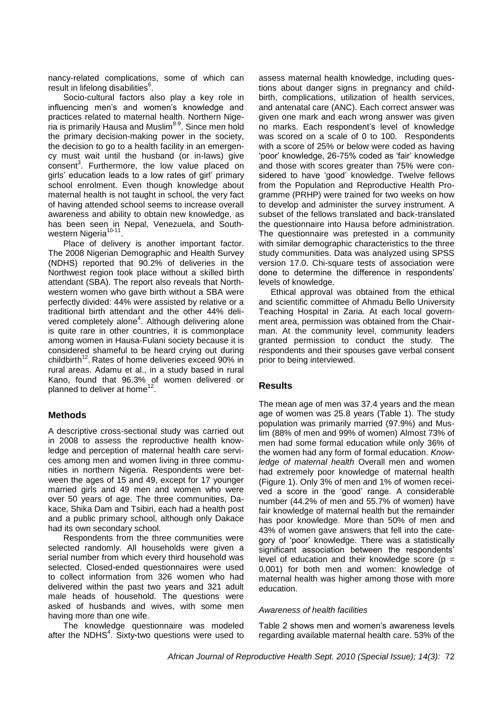nancy-related complications, some of which can result in lifelong disabilities<sup>6</sup>.

Socio-cultural factors also play a key role in influencing men's and women's knowledge and practices related to maternal health. Northern Nigeria is primarily Hausa and Muslim<sup>8-9</sup>. Since men hold the primary decision-making power in the society, the decision to go to a health facility in an emergency must wait until the husband (or in-laws) give consent<sup>3</sup>. Furthermore, the low value placed on girls" education leads to a low rates of girl" primary school enrolment. Even though knowledge about maternal health is not taught in school, the very fact of having attended school seems to increase overall awareness and ability to obtain new knowledge, as has been seen in Nepal, Venezuela, and Southwestern Nigeria<sup>10-11</sup>.

Place of delivery is another important factor. The 2008 Nigerian Demographic and Health Survey (NDHS) reported that 90.2% of deliveries in the Northwest region took place without a skilled birth attendant (SBA). The report also reveals that Northwestern women who gave birth without a SBA were perfectly divided: 44% were assisted by relative or a traditional birth attendant and the other 44% delivered completely alone<sup>4</sup>. Although delivering alone is quite rare in other countries, it is commonplace among women in Hausa-Fulani society because it is considered shameful to be heard crying out during childbirth<sup>12</sup>. Rates of home deliveries exceed 90% in rural areas. Adamu et al., in a study based in rural Kano, found that 96.3% of women delivered or planned to deliver at home<sup>12</sup>.

# **Methods**

A descriptive cross-sectional study was carried out in 2008 to assess the reproductive health knowledge and perception of maternal health care services among men and women living in three communities in northern Nigeria. Respondents were between the ages of 15 and 49, except for 17 younger married girls and 49 men and women who were over 50 years of age. The three communities, Dakace, Shika Dam and Tsibiri, each had a health post and a public primary school, although only Dakace had its own secondary school.

Respondents from the three communities were selected randomly. All households were given a serial number from which every third household was selected. Closed-ended questionnaires were used to collect information from 326 women who had delivered within the past two years and 321 adult male heads of household. The questions were asked of husbands and wives, with some men having more than one wife.

The knowledge questionnaire was modeled after the NDHS $4$ . Sixty-two questions were used to assess maternal health knowledge, including questions about danger signs in pregnancy and childbirth, complications, utilization of health services, and antenatal care (ANC). Each correct answer was given one mark and each wrong answer was given no marks. Each respondent"s level of knowledge was scored on a scale of 0 to 100. Respondents with a score of 25% or below were coded as having "poor" knowledge, 26-75% coded as "fair" knowledge and those with scores greater than 75% were considered to have "good" knowledge. Twelve fellows from the Population and Reproductive Health Programme (PRHP) were trained for two weeks on how to develop and administer the survey instrument. A subset of the fellows translated and back-translated the questionnaire into Hausa before administration. The questionnaire was pretested in a community with similar demographic characteristics to the three study communities. Data was analyzed using SPSS version 17.0. Chi-square tests of association were done to determine the difference in respondents" levels of knowledge.

Ethical approval was obtained from the ethical and scientific committee of Ahmadu Bello University Teaching Hospital in Zaria. At each local government area, permission was obtained from the Chairman. At the community level, community leaders granted permission to conduct the study. The respondents and their spouses gave verbal consent prior to being interviewed.

# **Results**

The mean age of men was 37.4 years and the mean age of women was 25.8 years (Table 1). The study population was primarily married (97.9%) and Muslim (88% of men and 99% of women) Almost 73% of men had some formal education while only 36% of the women had any form of formal education. *Knowledge of maternal health* Overall men and women had extremely poor knowledge of maternal health (Figure 1). Only 3% of men and 1% of women received a score in the "good" range. A considerable number (44.2% of men and 55.7% of women) have fair knowledge of maternal health but the remainder has poor knowledge. More than 50% of men and 43% of women gave answers that fell into the category of "poor" knowledge. There was a statistically significant association between the respondents' level of education and their knowledge score ( $p =$ 0.001) for both men and women: knowledge of maternal health was higher among those with more education.

#### *Awareness of health facilities*

Table 2 shows men and women"s awareness levels regarding available maternal health care. 53% of the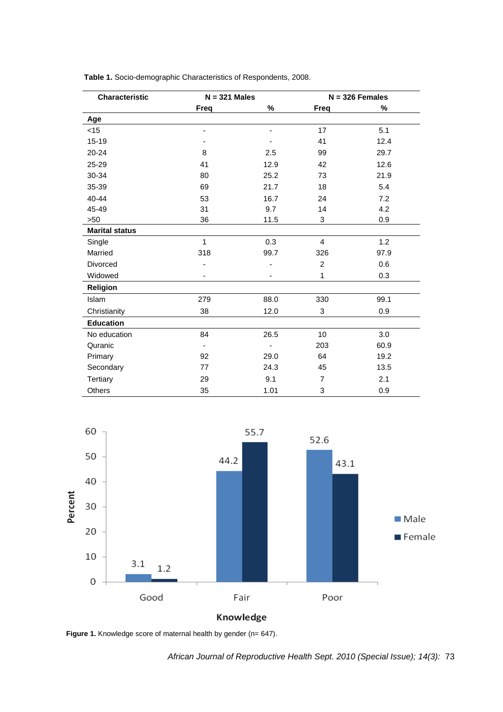| Characteristic        | $N = 321$ Males |      | $N = 326$ Females |      |
|-----------------------|-----------------|------|-------------------|------|
|                       | <b>Freq</b>     | %    | Freq              | %    |
| Age                   |                 |      |                   |      |
| $<$ 15                |                 |      | 17                | 5.1  |
| $15 - 19$             |                 |      | 41                | 12.4 |
| 20-24                 | 8               | 2.5  | 99                | 29.7 |
| 25-29                 | 41              | 12.9 | 42                | 12.6 |
| 30-34                 | 80              | 25.2 | 73                | 21.9 |
| 35-39                 | 69              | 21.7 | 18                | 5.4  |
| 40-44                 | 53              | 16.7 | 24                | 7.2  |
| 45-49                 | 31              | 9.7  | 14                | 4.2  |
| >50                   | 36              | 11.5 | $\mathbf{3}$      | 0.9  |
| <b>Marital status</b> |                 |      |                   |      |
| Single                | $\mathbf{1}$    | 0.3  | $\overline{4}$    | 1.2  |
| Married               | 318             | 99.7 | 326               | 97.9 |
| Divorced              |                 |      | $\overline{2}$    | 0.6  |
| Widowed               |                 |      | 1                 | 0.3  |
| Religion              |                 |      |                   |      |
| Islam                 | 279             | 88.0 | 330               | 99.1 |
| Christianity          | 38              | 12.0 | 3                 | 0.9  |
| <b>Education</b>      |                 |      |                   |      |
| No education          | 84              | 26.5 | 10                | 3.0  |
| Quranic               |                 |      | 203               | 60.9 |
| Primary               | 92              | 29.0 | 64                | 19.2 |
| Secondary             | 77              | 24.3 | 45                | 13.5 |
| Tertiary              | 29              | 9.1  | $\overline{7}$    | 2.1  |
| Others                | 35              | 1.01 | 3                 | 0.9  |

**Table 1.** Socio-demographic Characteristics of Respondents, 2008.



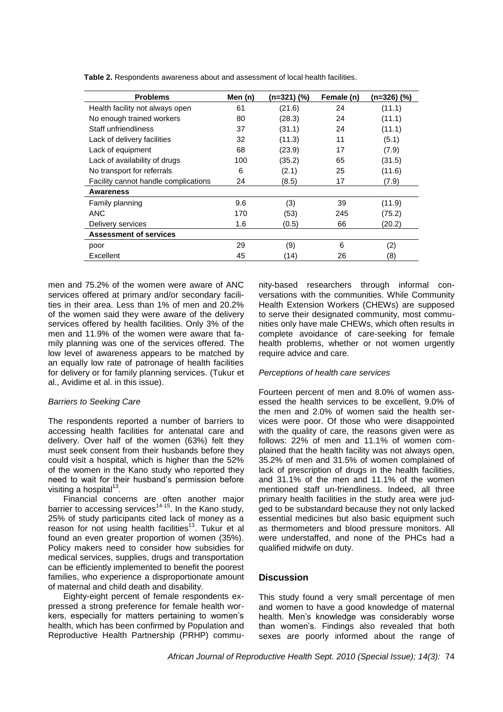| <b>Problems</b>                      | Men (n) | (n=321) (%) | Female (n) | (n=326) (%) |  |
|--------------------------------------|---------|-------------|------------|-------------|--|
| Health facility not always open      | 61      | (21.6)      | 24         | (11.1)      |  |
| No enough trained workers            | 80      | (28.3)      | 24         | (11.1)      |  |
| Staff unfriendliness                 | 37      | (31.1)      | 24         | (11.1)      |  |
| Lack of delivery facilities          | 32      | (11.3)      | 11         | (5.1)       |  |
| Lack of equipment                    | 68      | (23.9)      | 17         | (7.9)       |  |
| Lack of availability of drugs        | 100     | (35.2)      | 65         | (31.5)      |  |
| No transport for referrals           | 6       | (2.1)       | 25         | (11.6)      |  |
| Facility cannot handle complications | 24      | (8.5)       | 17         | (7.9)       |  |
| Awareness                            |         |             |            |             |  |
| Family planning                      | 9.6     | (3)         | 39         | (11.9)      |  |
| <b>ANC</b>                           | 170     | (53)        | 245        | (75.2)      |  |
| Delivery services                    | 1.6     | (0.5)       | 66         | (20.2)      |  |
| <b>Assessment of services</b>        |         |             |            |             |  |
| poor                                 | 29      | (9)         | 6          | (2)         |  |
| Excellent                            | 45      | (14)        | 26         | (8)         |  |

**Table 2.** Respondents awareness about and assessment of local health facilities.

men and 75.2% of the women were aware of ANC services offered at primary and/or secondary facilities in their area. Less than 1% of men and 20.2% of the women said they were aware of the delivery services offered by health facilities. Only 3% of the men and 11.9% of the women were aware that family planning was one of the services offered. The low level of awareness appears to be matched by an equally low rate of patronage of health facilities for delivery or for family planning services. (Tukur et al., Avidime et al. in this issue).

#### *Barriers to Seeking Care*

The respondents reported a number of barriers to accessing health facilities for antenatal care and delivery. Over half of the women (63%) felt they must seek consent from their husbands before they could visit a hospital, which is higher than the 52% of the women in the Kano study who reported they need to wait for their husband"s permission before visiting a hospital<sup>13</sup>.

Financial concerns are often another major barrier to accessing services<sup>14-15</sup>. In the Kano study, 25% of study participants cited lack of money as a reason for not using health facilities<sup>13</sup>. Tukur et al found an even greater proportion of women (35%). Policy makers need to consider how subsidies for medical services, supplies, drugs and transportation can be efficiently implemented to benefit the poorest families, who experience a disproportionate amount of maternal and child death and disability.

Eighty-eight percent of female respondents expressed a strong preference for female health workers, especially for matters pertaining to women"s health, which has been confirmed by Population and Reproductive Health Partnership (PRHP) community-based researchers through informal conversations with the communities. While Community Health Extension Workers (CHEWs) are supposed to serve their designated community, most communities only have male CHEWs, which often results in complete avoidance of care-seeking for female health problems, whether or not women urgently require advice and care.

#### *Perceptions of health care services*

Fourteen percent of men and 8.0% of women assessed the health services to be excellent, 9.0% of the men and 2.0% of women said the health services were poor. Of those who were disappointed with the quality of care, the reasons given were as follows: 22% of men and 11.1% of women complained that the health facility was not always open, 35.2% of men and 31.5% of women complained of lack of prescription of drugs in the health facilities, and 31.1% of the men and 11.1% of the women mentioned staff un-friendliness. Indeed, all three primary health facilities in the study area were judged to be substandard because they not only lacked essential medicines but also basic equipment such as thermometers and blood pressure monitors. All were understaffed, and none of the PHCs had a qualified midwife on duty.

# **Discussion**

This study found a very small percentage of men and women to have a good knowledge of maternal health. Men's knowledge was considerably worse than women"s. Findings also revealed that both sexes are poorly informed about the range of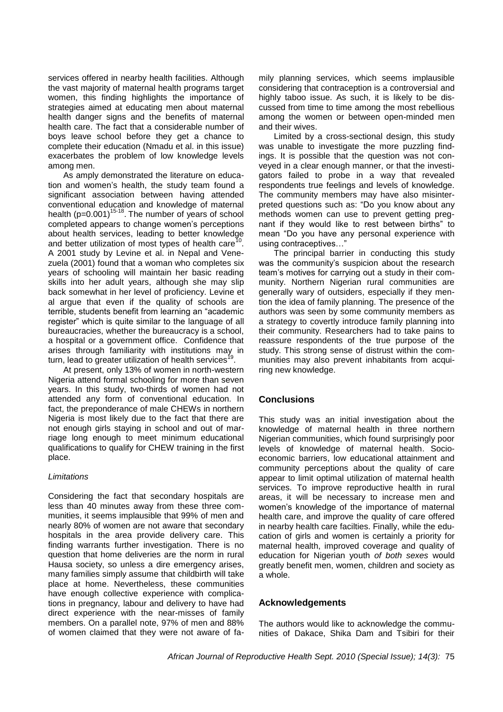services offered in nearby health facilities. Although the vast majority of maternal health programs target women, this finding highlights the importance of strategies aimed at educating men about maternal health danger signs and the benefits of maternal health care. The fact that a considerable number of boys leave school before they get a chance to complete their education (Nmadu et al. in this issue) exacerbates the problem of low knowledge levels among men.

As amply demonstrated the literature on education and women"s health, the study team found a significant association between having attended conventional education and knowledge of maternal health  $(p=0.001)^{15-18}$ . The number of years of school completed appears to change women"s perceptions about health services, leading to better knowledge and better utilization of most types of health care<sup>10</sup>. A 2001 study by Levine et al. in Nepal and Venezuela (2001) found that a woman who completes six years of schooling will maintain her basic reading skills into her adult years, although she may slip back somewhat in her level of proficiency. Levine et al argue that even if the quality of schools are terrible, students benefit from learning an "academic register" which is quite similar to the language of all bureaucracies, whether the bureaucracy is a school, a hospital or a government office. Confidence that arises through familiarity with institutions may in turn, lead to greater utilization of health services<sup>1</sup> .

At present, only 13% of women in north-western Nigeria attend formal schooling for more than seven years. In this study, two-thirds of women had not attended any form of conventional education. In fact, the preponderance of male CHEWs in northern Nigeria is most likely due to the fact that there are not enough girls staying in school and out of marriage long enough to meet minimum educational qualifications to qualify for CHEW training in the first place.

#### *Limitations*

Considering the fact that secondary hospitals are less than 40 minutes away from these three communities, it seems implausible that 99% of men and nearly 80% of women are not aware that secondary hospitals in the area provide delivery care. This finding warrants further investigation. There is no question that home deliveries are the norm in rural Hausa society, so unless a dire emergency arises, many families simply assume that childbirth will take place at home. Nevertheless, these communities have enough collective experience with complications in pregnancy, labour and delivery to have had direct experience with the near-misses of family members. On a parallel note, 97% of men and 88% of women claimed that they were not aware of family planning services, which seems implausible considering that contraception is a controversial and highly taboo issue. As such, it is likely to be discussed from time to time among the most rebellious among the women or between open-minded men and their wives.

Limited by a cross-sectional design, this study was unable to investigate the more puzzling findings. It is possible that the question was not conveyed in a clear enough manner, or that the investigators failed to probe in a way that revealed respondents true feelings and levels of knowledge. The community members may have also misinterpreted questions such as: "Do you know about any methods women can use to prevent getting pregnant if they would like to rest between births" to mean "Do you have any personal experience with using contraceptives…"

The principal barrier in conducting this study was the community's suspicion about the research team"s motives for carrying out a study in their community. Northern Nigerian rural communities are generally wary of outsiders, especially if they mention the idea of family planning. The presence of the authors was seen by some community members as a strategy to covertly introduce family planning into their community. Researchers had to take pains to reassure respondents of the true purpose of the study. This strong sense of distrust within the communities may also prevent inhabitants from acquiring new knowledge.

# **Conclusions**

This study was an initial investigation about the knowledge of maternal health in three northern Nigerian communities, which found surprisingly poor levels of knowledge of maternal health. Socioeconomic barriers, low educational attainment and community perceptions about the quality of care appear to limit optimal utilization of maternal health services. To improve reproductive health in rural areas, it will be necessary to increase men and women"s knowledge of the importance of maternal health care, and improve the quality of care offered in nearby health care facilties. Finally, while the education of girls and women is certainly a priority for maternal health, improved coverage and quality of education for Nigerian youth *of both sexes* would greatly benefit men, women, children and society as a whole.

# **Acknowledgements**

The authors would like to acknowledge the communities of Dakace, Shika Dam and Tsibiri for their